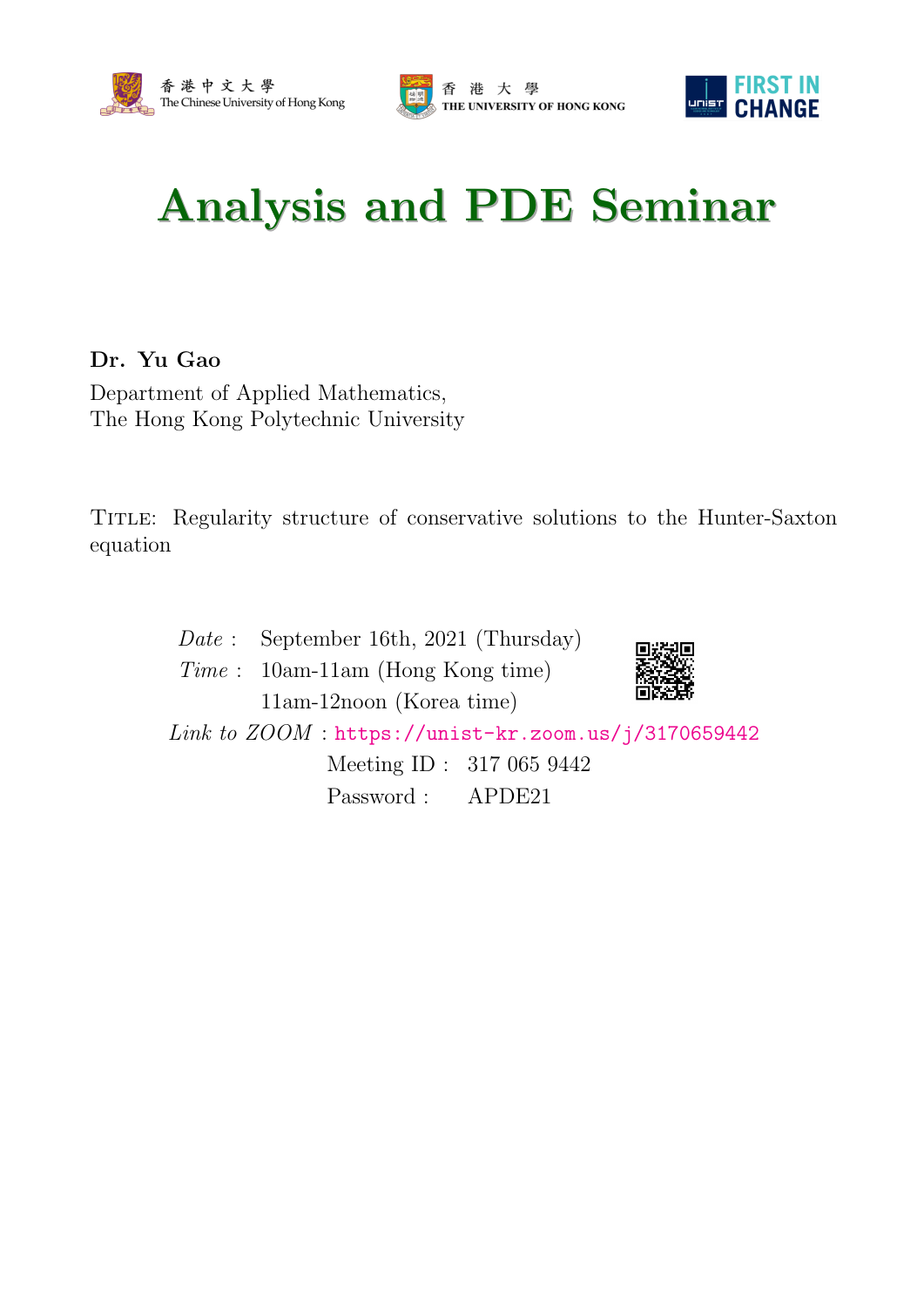





## Analysis and PDE Seminar

## Dr. Yu Gao

Department of Applied Mathematics, The Hong Kong Polytechnic University

Title: Regularity structure of conservative solutions to the Hunter-Saxton equation

> Date : September 16th, 2021 (Thursday) Time : 10am-11am (Hong Kong time) 11am-12noon (Korea time) Link to  $ZOOM$ : <https://unist-kr.zoom.us/j/3170659442> Meeting ID : 317 065 9442 Password : APDE21